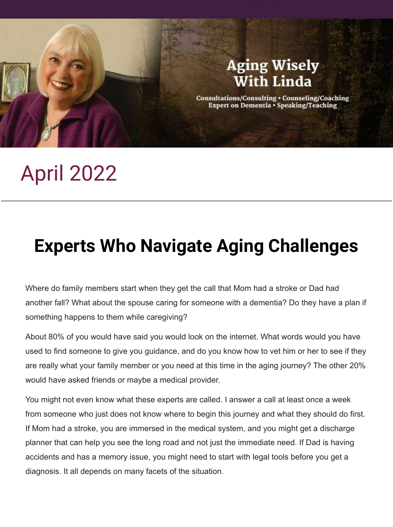

# April 2022

## **Experts Who Navigate Aging Challenges**

Where do family members start when they get the call that Mom had a stroke or Dad had another fall? What about the spouse caring for someone with a dementia? Do they have a plan if something happens to them while caregiving?

About 80% of you would have said you would look on the internet. What words would you have used to find someone to give you guidance, and do you know how to vet him or her to see if they are really what your family member or you need at this time in the aging journey? The other 20% would have asked friends or maybe a medical provider.

You might not even know what these experts are called. I answer a call at least once a week from someone who just does not know where to begin this journey and what they should do first. If Mom had a stroke, you are immersed in the medical system, and you might get a discharge planner that can help you see the long road and not just the immediate need. If Dad is having accidents and has a memory issue, you might need to start with legal tools before you get a diagnosis. It all depends on many facets of the situation.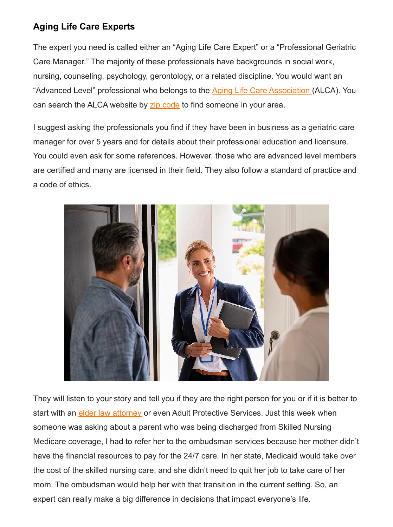#### **Aging Life Care Experts**

The expert you need is called either an "Aging Life Care Expert" or a "Professional Geriatric Care Manager." The majority of these professionals have backgrounds in social work, nursing, counseling, psychology, gerontology, or a related discipline. You would want an "Advanced Level" professional who belongs to the **Aging Life Care Association** (ALCA). You can search the ALCA website by [zip code](https://www.aginglifecare.org/ALCAWEB/What_is_Aging_Life_Care/Find_an_Aging_Life_Care_Expert/ALCAWEB/What_is_Aging_Life_Care/Search/Find_an_Expert.aspx?hkey=6c3ced7c-b5f0-4d27-9d30-37734ab6cf49) to find someone in your area.

I suggest asking the professionals you find if they have been in business as a geriatric care manager for over 5 years and for details about their professional education and licensure. You could even ask for some references. However, those who are advanced level members are certified and many are licensed in their field. They also follow a standard of practice and a code of ethics.



They will listen to your story and tell you if they are the right person for you or if it is better to start with an **elder law attorney** or even Adult Protective Services. Just this week when someone was asking about a parent who was being discharged from Skilled Nursing Medicare coverage, I had to refer her to the ombudsman services because her mother didn't have the financial resources to pay for the 24/7 care. In her state, Medicaid would take over the cost of the skilled nursing care, and she didn't need to quit her job to take care of her mom. The ombudsman would help her with that transition in the current setting. So, an expert can really make a big difference in decisions that impact everyone's life.